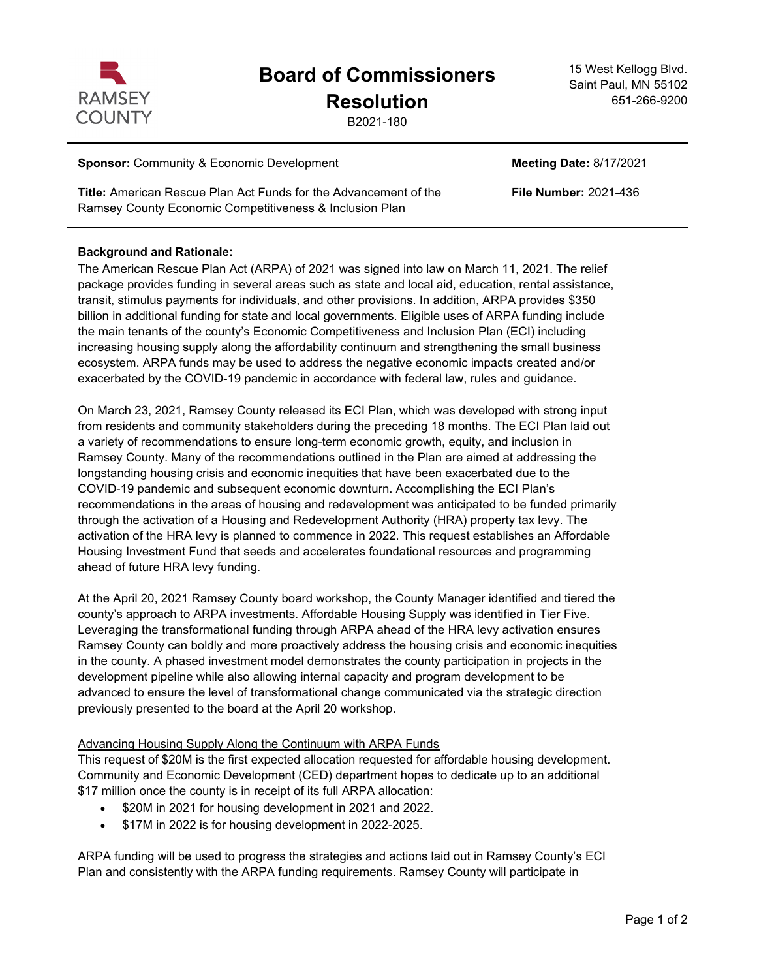

# **Board of Commissioners**

## **Resolution**

B2021-180

15 West Kellogg Blvd. Saint Paul, MN 55102 651-266-9200

#### **Sponsor:** Community & Economic Development **Meeting Date:** 8/17/2021

**Title:** American Rescue Plan Act Funds for the Advancement of the Ramsey County Economic Competitiveness & Inclusion Plan

#### **Background and Rationale:**

The American Rescue Plan Act (ARPA) of 2021 was signed into law on March 11, 2021. The relief package provides funding in several areas such as state and local aid, education, rental assistance, transit, stimulus payments for individuals, and other provisions. In addition, ARPA provides \$350 billion in additional funding for state and local governments. Eligible uses of ARPA funding include the main tenants of the county's Economic Competitiveness and Inclusion Plan (ECI) including increasing housing supply along the affordability continuum and strengthening the small business ecosystem. ARPA funds may be used to address the negative economic impacts created and/or exacerbated by the COVID-19 pandemic in accordance with federal law, rules and guidance.

On March 23, 2021, Ramsey County released its ECI Plan, which was developed with strong input from residents and community stakeholders during the preceding 18 months. The ECI Plan laid out a variety of recommendations to ensure long-term economic growth, equity, and inclusion in Ramsey County. Many of the recommendations outlined in the Plan are aimed at addressing the longstanding housing crisis and economic inequities that have been exacerbated due to the COVID-19 pandemic and subsequent economic downturn. Accomplishing the ECI Plan's recommendations in the areas of housing and redevelopment was anticipated to be funded primarily through the activation of a Housing and Redevelopment Authority (HRA) property tax levy. The activation of the HRA levy is planned to commence in 2022. This request establishes an Affordable Housing Investment Fund that seeds and accelerates foundational resources and programming ahead of future HRA levy funding.

At the April 20, 2021 Ramsey County board workshop, the County Manager identified and tiered the county's approach to ARPA investments. Affordable Housing Supply was identified in Tier Five. Leveraging the transformational funding through ARPA ahead of the HRA levy activation ensures Ramsey County can boldly and more proactively address the housing crisis and economic inequities in the county. A phased investment model demonstrates the county participation in projects in the development pipeline while also allowing internal capacity and program development to be advanced to ensure the level of transformational change communicated via the strategic direction previously presented to the board at the April 20 workshop.

### Advancing Housing Supply Along the Continuum with ARPA Funds

This request of \$20M is the first expected allocation requested for affordable housing development. Community and Economic Development (CED) department hopes to dedicate up to an additional \$17 million once the county is in receipt of its full ARPA allocation:

- · \$20M in 2021 for housing development in 2021 and 2022.
- · \$17M in 2022 is for housing development in 2022-2025.

ARPA funding will be used to progress the strategies and actions laid out in Ramsey County's ECI Plan and consistently with the ARPA funding requirements. Ramsey County will participate in

**File Number:** 2021-436